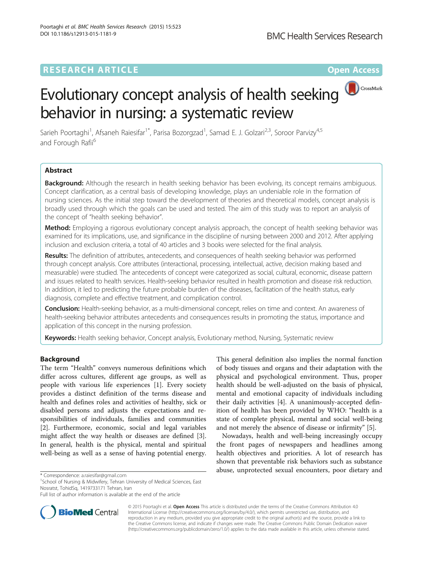# **RESEARCH ARTICLE Example 2014 12:30 The Contract of Contract ACCESS**

# Evolutionary concept analysis of health seeking behavior in nursing: a systematic review

Sarieh Poortaghi<sup>1</sup>, Afsaneh Raiesifar<sup>1\*</sup>, Parisa Bozorgzad<sup>1</sup>, Samad E. J. Golzari<sup>2,3</sup>, Soroor Parvizy<sup>4,5</sup> and Forough Rafii<sup>6</sup>

# Abstract

Background: Although the research in health seeking behavior has been evolving, its concept remains ambiguous. Concept clarification, as a central basis of developing knowledge, plays an undeniable role in the formation of nursing sciences. As the initial step toward the development of theories and theoretical models, concept analysis is broadly used through which the goals can be used and tested. The aim of this study was to report an analysis of the concept of "health seeking behavior".

Method: Employing a rigorous evolutionary concept analysis approach, the concept of health seeking behavior was examined for its implications, use, and significance in the discipline of nursing between 2000 and 2012. After applying inclusion and exclusion criteria, a total of 40 articles and 3 books were selected for the final analysis.

Results: The definition of attributes, antecedents, and consequences of health seeking behavior was performed through concept analysis. Core attributes (interactional, processing, intellectual, active, decision making based and measurable) were studied. The antecedents of concept were categorized as social, cultural, economic, disease pattern and issues related to health services. Health-seeking behavior resulted in health promotion and disease risk reduction. In addition, it led to predicting the future probable burden of the diseases, facilitation of the health status, early diagnosis, complete and effective treatment, and complication control.

Conclusion: Health-seeking behavior, as a multi-dimensional concept, relies on time and context. An awareness of health-seeking behavior attributes antecedents and consequences results in promoting the status, importance and application of this concept in the nursing profession.

Keywords: Health seeking behavior, Concept analysis, Evolutionary method, Nursing, Systematic review

# Background

The term "Health" conveys numerous definitions which differ across cultures, different age groups, as well as people with various life experiences [[1\]](#page-6-0). Every society provides a distinct definition of the terms disease and health and defines roles and activities of healthy, sick or disabled persons and adjusts the expectations and responsibilities of individuals, families and communities [[2\]](#page-6-0). Furthermore, economic, social and legal variables might affect the way health or diseases are defined [\[3](#page-6-0)]. In general, health is the physical, mental and spiritual well-being as well as a sense of having potential energy.

<sup>1</sup>School of Nursing & Midwifery, Tehran University of Medical Sciences, East Nosratst, TohidSq, 1419733171 Tehran, Iran



Nowadays, health and well-being increasingly occupy the front pages of newspapers and headlines among health objectives and priorities. A lot of research has shown that preventable risk behaviors such as substance abuse, unprotected sexual encounters, poor dietary and \* Correspondence: [a.raiesifar@gmail.com](mailto:a.raiesifar@gmail.com) <sup>1</sup>



© 2015 Poortaghi et al. Open Access This article is distributed under the terms of the Creative Commons Attribution 4.0 International License [\(http://creativecommons.org/licenses/by/4.0/](http://creativecommons.org/licenses/by/4.0/)), which permits unrestricted use, distribution, and reproduction in any medium, provided you give appropriate credit to the original author(s) and the source, provide a link to the Creative Commons license, and indicate if changes were made. The Creative Commons Public Domain Dedication waiver [\(http://creativecommons.org/publicdomain/zero/1.0/](http://creativecommons.org/publicdomain/zero/1.0/)) applies to the data made available in this article, unless otherwise stated.

Full list of author information is available at the end of the article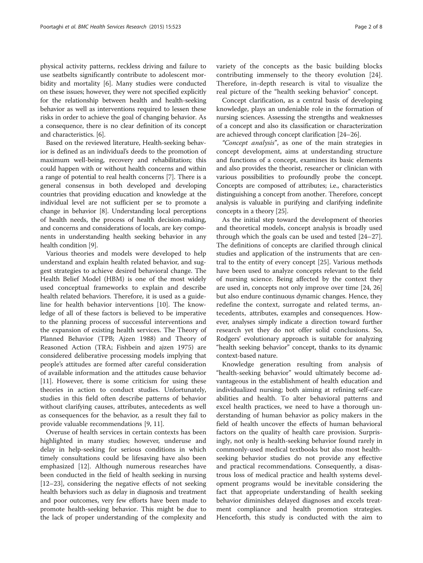physical activity patterns, reckless driving and failure to use seatbelts significantly contribute to adolescent morbidity and mortality [[6\]](#page-6-0). Many studies were conducted on these issues; however, they were not specified explicitly for the relationship between health and health-seeking behavior as well as interventions required to lessen these risks in order to achieve the goal of changing behavior. As a consequence, there is no clear definition of its concept and characteristics. [[6](#page-6-0)].

Based on the reviewed literature, Health-seeking behavior is defined as an individual's deeds to the promotion of maximum well-being, recovery and rehabilitation; this could happen with or without health concerns and within a range of potential to real health concerns [\[7\]](#page-6-0). There is a general consensus in both developed and developing countries that providing education and knowledge at the individual level are not sufficient per se to promote a change in behavior [\[8\]](#page-6-0). Understanding local perceptions of health needs, the process of health decision-making, and concerns and considerations of locals, are key components in understanding health seeking behavior in any health condition [[9\]](#page-6-0).

Various theories and models were developed to help understand and explain health related behavior, and suggest strategies to achieve desired behavioral change. The Health Belief Model (HBM) is one of the most widely used conceptual frameworks to explain and describe health related behaviors. Therefore, it is used as a guideline for health behavior interventions [[10\]](#page-6-0). The knowledge of all of these factors is believed to be imperative to the planning process of successful interventions and the expansion of existing health services. The Theory of Planned Behavior (TPB; Ajzen 1988) and Theory of Reasoned Action (TRA; Fishbein and ajzen 1975) are considered deliberative processing models implying that people's attitudes are formed after careful consideration of available information and the attitudes cause behavior [[11\]](#page-6-0). However, there is some criticism for using these theories in action to conduct studies. Unfortunately, studies in this field often describe patterns of behavior without clarifying causes, attributes, antecedents as well as consequences for the behavior, as a result they fail to provide valuable recommendations [\[9](#page-6-0), [11](#page-6-0)].

Overuse of health services in certain contexts has been highlighted in many studies; however, underuse and delay in help-seeking for serious conditions in which timely consultations could be lifesaving have also been emphasized [\[12\]](#page-6-0). Although numerous researches have been conducted in the field of health seeking in nursing [[12](#page-6-0)–[23](#page-7-0)], considering the negative effects of not seeking health behaviors such as delay in diagnosis and treatment and poor outcomes, very few efforts have been made to promote health-seeking behavior. This might be due to the lack of proper understanding of the complexity and variety of the concepts as the basic building blocks contributing immensely to the theory evolution [\[24](#page-7-0)]. Therefore, in-depth research is vital to visualize the real picture of the "health seeking behavior" concept.

Concept clarification, as a central basis of developing knowledge, plays an undeniable role in the formation of nursing sciences. Assessing the strengths and weaknesses of a concept and also its classification or characterization are achieved through concept clarification [\[24](#page-7-0)–[26](#page-7-0)].

"Concept analysis", as one of the main strategies in concept development, aims at understanding structure and functions of a concept, examines its basic elements and also provides the theorist, researcher or clinician with various possibilities to profoundly probe the concept. Concepts are composed of attributes; i.e., characteristics distinguishing a concept from another. Therefore, concept analysis is valuable in purifying and clarifying indefinite concepts in a theory [\[25\]](#page-7-0).

As the initial step toward the development of theories and theoretical models, concept analysis is broadly used through which the goals can be used and tested [[24](#page-7-0)–[27](#page-7-0)]. The definitions of concepts are clarified through clinical studies and application of the instruments that are central to the entity of every concept [[25\]](#page-7-0). Various methods have been used to analyze concepts relevant to the field of nursing science. Being affected by the context they are used in, concepts not only improve over time [[24, 26](#page-7-0)] but also endure continuous dynamic changes. Hence, they redefine the context, surrogate and related terms, antecedents, attributes, examples and consequences. However, analyses simply indicate a direction toward further research yet they do not offer solid conclusions. So, Rodgers' evolutionary approach is suitable for analyzing "health seeking behavior" concept, thanks to its dynamic context-based nature.

Knowledge generation resulting from analysis of "health-seeking behavior" would ultimately become advantageous in the establishment of health education and individualized nursing; both aiming at refining self-care abilities and health. To alter behavioral patterns and excel health practices, we need to have a thorough understanding of human behavior as policy makers in the field of health uncover the effects of human behavioral factors on the quality of health care provision. Surprisingly, not only is health-seeking behavior found rarely in commonly-used medical textbooks but also most healthseeking behavior studies do not provide any effective and practical recommendations. Consequently, a disastrous loss of medical practice and health systems development programs would be inevitable considering the fact that appropriate understanding of health seeking behavior diminishes delayed diagnoses and excels treatment compliance and health promotion strategies. Henceforth, this study is conducted with the aim to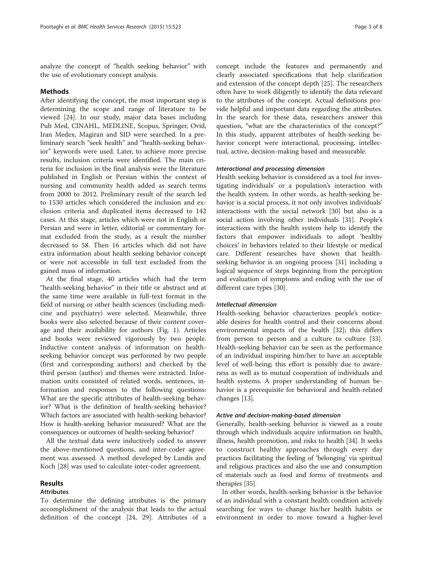analyze the concept of "health seeking behavior" with the use of evolutionary concept analysis.

#### Methods

After identifying the concept, the most important step is determining the scope and range of literature to be viewed [[24\]](#page-7-0). In our study, major data bases including Pub Med, CINAHL, MEDLINE, Scopus, Springer, Ovid, Iran Medex, Magiran and SID were searched. In a preliminary search "seek health" and "health-seeking behavior" keywords were used. Later, to achieve more precise results, inclusion criteria were identified. The main criteria for inclusion in the final analysis were the literature published in English or Persian within the context of nursing and community health added as search terms from 2000 to 2012. Preliminary result of the search led to 1530 articles which considered the inclusion and exclusion criteria and duplicated items decreased to 142 cases. At this stage, articles which were not in English or Persian and were in letter, editorial or commentary format excluded from the study, as a result the number decreased to 58. Then 16 articles which did not have extra information about health seeking behavior concept or were not accessible in full text excluded from the gained mass of information.

At the final stage, 40 articles which had the term "health-seeking behavior" in their title or abstract and at the same time were available in full-text format in the field of nursing or other health sciences (including medicine and psychiatry) were selected. Meanwhile, three books were also selected because of their content coverage and their availability for authors (Fig. [1\)](#page-3-0). Articles and books were reviewed vigorously by two people. Inductive content analysis of information on healthseeking behavior concept was performed by two people (first and corresponding authors) and checked by the third person (author) and themes were extracted. Information units consisted of related words, sentences, information and responses to the following questions: What are the specific attributes of health-seeking behavior? What is the definition of health-seeking behavior? Which factors are associated with health-seeking behavior? How is health-seeking behavior measured? What are the consequences or outcomes of health-seeking behavior?

All the textual data were inductively coded to answer the above-mentioned questions, and inter-coder agreement was assessed. A method developed by Landis and Koch [\[28\]](#page-7-0) was used to calculate inter-coder agreement.

#### Results

#### **Attributes**

To determine the defining attributes is the primary accomplishment of the analysis that leads to the actual definition of the concept [[24, 29\]](#page-7-0). Attributes of a

concept include the features and permanently and clearly associated specifications that help clarification and extension of the concept depth [[25](#page-7-0)]. The researchers often have to work diligently to identify the data relevant to the attributes of the concept. Actual definitions provide helpful and important data regarding the attributes. In the search for these data, researchers answer this question, "what are the characteristics of the concept?" In this study, apparent attributes of health-seeking behavior concept were interactional, processing, intellectual, active, decision-making based and measurable.

#### Interactional and processing dimension

Health seeking behavior is considered as a tool for investigating individuals' or a population's interaction with the health system. In other words, as health-seeking behavior is a social process, it not only involves individuals' interactions with the social network [[30](#page-7-0)] but also is a social action involving other individuals [[31\]](#page-7-0). People's interactions with the health system help to identify the factors that empower individuals to adopt 'healthy choices' in behaviors related to their lifestyle or medical care. Different researches have shown that healthseeking behavior is an ongoing process [\[31](#page-7-0)] including a logical sequence of steps beginning from the perception and evaluation of symptoms and ending with the use of different care types [\[30\]](#page-7-0).

#### Intellectual dimension

Health-seeking behavior characterizes people's noticeable desires for health control and their concerns about environmental impacts of the health [\[32](#page-7-0)]; this differs from person to person and a culture to culture [\[33](#page-7-0)]. Health-seeking behavior can be seen as the performance of an individual inspiring him/her to have an acceptable level of well-being; this effort is possibly due to awareness as well as to mutual cooperation of individuals and health systems. A proper understanding of human behavior is a prerequisite for behavioral and health-related changes [\[13](#page-6-0)].

#### Active and decision-making-based dimension

Generally, health-seeking behavior is viewed as a route through which individuals acquire information on health, illness, health promotion, and risks to health [[34](#page-7-0)]. It seeks to construct healthy approaches through every day practices facilitating the feeling of 'belonging' via spiritual and religious practices and also the use and consumption of materials such as food and forms of treatments and therapies [[35](#page-7-0)].

In other words, health-seeking behavior is the behavior of an individual with a constant health condition actively searching for ways to change his/her health habits or environment in order to move toward a higher-level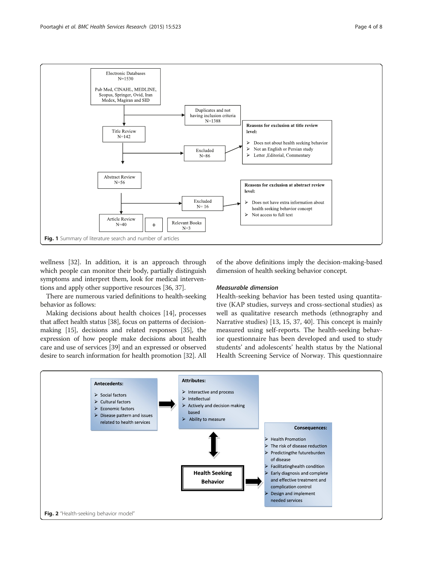<span id="page-3-0"></span>

wellness [\[32](#page-7-0)]. In addition, it is an approach through which people can monitor their body, partially distinguish symptoms and interpret them, look for medical interventions and apply other supportive resources [\[36, 37](#page-7-0)].

There are numerous varied definitions to health-seeking behavior as follows:

Making decisions about health choices [\[14\]](#page-6-0), processes that affect health status [\[38\]](#page-7-0), focus on patterns of decisionmaking [[15](#page-6-0)], decisions and related responses [[35](#page-7-0)], the expression of how people make decisions about health care and use of services [[39](#page-7-0)] and an expressed or observed desire to search information for health promotion [\[32\]](#page-7-0). All

of the above definitions imply the decision-making-based dimension of health seeking behavior concept.

#### Measurable dimension

Health-seeking behavior has been tested using quantitative (KAP studies, surveys and cross-sectional studies) as well as qualitative research methods (ethnography and Narrative studies) [\[13](#page-6-0), [15,](#page-6-0) [37, 40\]](#page-7-0). This concept is mainly measured using self-reports. The health-seeking behavior questionnaire has been developed and used to study students' and adolescents' health status by the National Health Screening Service of Norway. This questionnaire

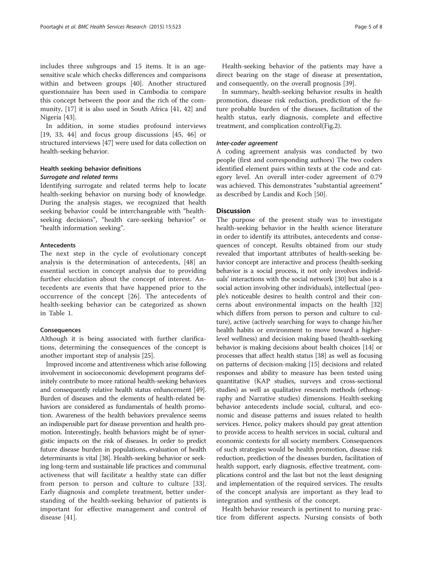includes three subgroups and 15 items. It is an agesensitive scale which checks differences and comparisons within and between groups [[40\]](#page-7-0). Another structured questionnaire has been used in Cambodia to compare this concept between the poor and the rich of the community, [[17](#page-6-0)] it is also used in South Africa [\[41](#page-7-0), [42\]](#page-7-0) and Nigeria [[43](#page-7-0)].

In addition, in some studies profound interviews [[19,](#page-6-0) [33](#page-7-0), [44\]](#page-7-0) and focus group discussions [[45, 46](#page-7-0)] or structured interviews [\[47\]](#page-7-0) were used for data collection on health-seeking behavior.

### Health seeking behavior definitions Surrogate and related terms

Identifying surrogate and related terms help to locate health-seeking behavior on nursing body of knowledge. During the analysis stages, we recognized that health seeking behavior could be interchangeable with "healthseeking decisions", "health care-seeking behavior" or "health information seeking".

#### **Antecedents**

The next step in the cycle of evolutionary concept analysis is the determination of antecedents, [\[48](#page-7-0)] an essential section in concept analysis due to providing further elucidation about the concept of interest. Antecedents are events that have happened prior to the occurrence of the concept [[26\]](#page-7-0). The antecedents of health-seeking behavior can be categorized as shown in Table [1](#page-5-0).

#### Consequences

Although it is being associated with further clarifications, determining the consequences of the concept is another important step of analysis [[25\]](#page-7-0).

Improved income and attentiveness which arise following involvement in socioeconomic development programs definitely contribute to more rational health-seeking behaviors and consequently relative health status enhancement [\[49](#page-7-0)]. Burden of diseases and the elements of health-related behaviors are considered as fundamentals of health promotion. Awareness of the health behaviors prevalence seems an indispensible part for disease prevention and health promotion. Interestingly, health behaviors might be of synergistic impacts on the risk of diseases. In order to predict future disease burden in populations, evaluation of health determinants is vital [\[38](#page-7-0)]. Health-seeking behavior or seeking long-term and sustainable life practices and communal activeness that will facilitate a healthy state can differ from person to person and culture to culture [\[33](#page-7-0)]. Early diagnosis and complete treatment, better understanding of the health-seeking behavior of patients is important for effective management and control of disease [\[41](#page-7-0)].

Health-seeking behavior of the patients may have a direct bearing on the stage of disease at presentation, and consequently, on the overall prognosis [\[39](#page-7-0)].

In summary, health-seeking behavior results in health promotion, disease risk reduction, prediction of the future probable burden of the diseases, facilitation of the health status, early diagnosis, complete and effective treatment, and complication control(Fig.[2\)](#page-3-0).

#### Inter-coder agreement

A coding agreement analysis was conducted by two people (first and corresponding authors) The two coders identified element pairs within texts at the code and category level. An overall inter-coder agreement of 0.79 was achieved. This demonstrates "substantial agreement" as described by Landis and Koch [[50](#page-7-0)].

#### **Discussion**

The purpose of the present study was to investigate health-seeking behavior in the health science literature in order to identify its attributes, antecedents and consequences of concept. Results obtained from our study revealed that important attributes of health-seeking behavior concept are interactive and process (health-seeking behavior is a social process, it not only involves individuals' interactions with the social network [[30\]](#page-7-0) but also is a social action involving other individuals), intellectual (people's noticeable desires to health control and their concerns about environmental impacts on the health [[32](#page-7-0)] which differs from person to person and culture to culture), active (actively searching for ways to change his/her health habits or environment to move toward a higherlevel wellness) and decision making based (health-seeking behavior is making decisions about health choices [[14\]](#page-6-0) or processes that affect health status [\[38\]](#page-7-0) as well as focusing on patterns of decision-making [\[15](#page-6-0)] decisions and related responses and ability to measure has been tested using quantitative (KAP studies, surveys and cross-sectional studies) as well as qualitative research methods (ethnography and Narrative studies) dimensions. Health-seeking behavior antecedents include social, cultural, and economic and disease patterns and issues related to health services. Hence, policy makers should pay great attention to provide access to health services in social, cultural and economic contexts for all society members. Consequences of such strategies would be health promotion, disease risk reduction, prediction of the diseases burden, facilitation of health support, early diagnosis, effective treatment, complications control and the last but not the least designing and implementation of the required services. The results of the concept analysis are important as they lead to integration and synthesis of the concept.

Health behavior research is pertinent to nursing practice from different aspects. Nursing consists of both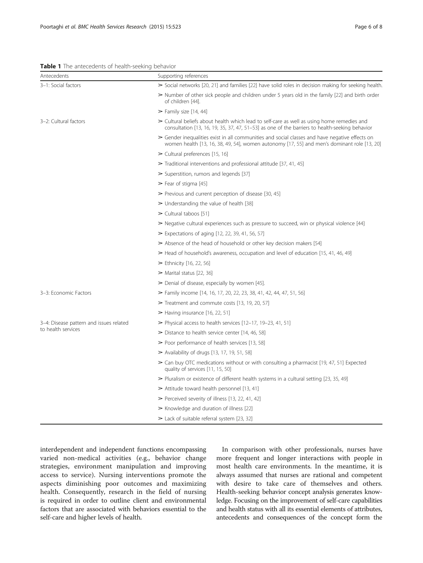<span id="page-5-0"></span>Table 1 The antecedents of health-seeking behavior

| Antecedents                                                   | Supporting references                                                                                                                                                                             |
|---------------------------------------------------------------|---------------------------------------------------------------------------------------------------------------------------------------------------------------------------------------------------|
| 3-1: Social factors                                           | $\ge$ Social networks [20, 21] and families [22] have solid roles in decision making for seeking health.                                                                                          |
|                                                               | $\geq$ Number of other sick people and children under 5 years old in the family [22] and birth order<br>of children [44].                                                                         |
|                                                               | $\triangleright$ Family size [14, 44]                                                                                                                                                             |
| 3-2: Cultural factors                                         | > Cultural beliefs about health which lead to self-care as well as using home remedies and<br>consultation [13, 16, 19, 35, 37, 47, 51-53] as one of the barriers to health-seeking behavior      |
|                                                               | $\ge$ Gender inequalities exist in all communities and social classes and have negative effects on<br>women health [13, 16, 38, 49, 54], women autonomy [17, 55] and men's dominant role [13, 20] |
|                                                               | > Cultural preferences [15, 16]                                                                                                                                                                   |
|                                                               | $\triangleright$ Traditional interventions and professional attitude [37, 41, 45]                                                                                                                 |
|                                                               | $\triangleright$ Superstition, rumors and legends [37]                                                                                                                                            |
|                                                               | $\triangleright$ Fear of stigma [45]                                                                                                                                                              |
|                                                               | $\triangleright$ Previous and current perception of disease [30, 45]                                                                                                                              |
|                                                               | $\geq$ Understanding the value of health [38]                                                                                                                                                     |
|                                                               | $\triangleright$ Cultural taboos [51]                                                                                                                                                             |
|                                                               | > Negative cultural experiences such as pressure to succeed, win or physical violence [44]                                                                                                        |
|                                                               | $\ge$ Expectations of aging [12, 22, 39, 41, 56, 57]                                                                                                                                              |
|                                                               | > Absence of the head of household or other key decision makers [54]                                                                                                                              |
|                                                               | $\triangleright$ Head of household's awareness, occupation and level of education [15, 41, 46, 49]                                                                                                |
|                                                               | $\ge$ Ethnicity [16, 22, 56]                                                                                                                                                                      |
|                                                               | $\triangleright$ Marital status [22, 36]                                                                                                                                                          |
|                                                               | $\triangleright$ Denial of disease, especially by women [45].                                                                                                                                     |
| 3-3: Economic Factors                                         | > Family income [14, 16, 17, 20, 22, 23, 38, 41, 42, 44, 47, 51, 56]                                                                                                                              |
|                                                               | $\triangleright$ Treatment and commute costs [13, 19, 20, 57]                                                                                                                                     |
|                                                               | $\triangleright$ Having insurance [16, 22, 51]                                                                                                                                                    |
| 3-4: Disease pattern and issues related<br>to health services | $\triangleright$ Physical access to health services [12-17, 19-23, 41, 51]                                                                                                                        |
|                                                               | $\triangleright$ Distance to health service center [14, 46, 58]                                                                                                                                   |
|                                                               | $\triangleright$ Poor performance of health services [13, 58]                                                                                                                                     |
|                                                               | $\triangleright$ Availability of drugs [13, 17, 19, 51, 58]                                                                                                                                       |
|                                                               | $\geq$ Can buy OTC medications without or with consulting a pharmacist [19, 47, 51] Expected<br>quality of services [11, 15, 50]                                                                  |
|                                                               | > Pluralism or existence of different health systems in a cultural setting [23, 35, 49]                                                                                                           |
|                                                               | $\triangleright$ Attitude toward health personnel [13, 41]                                                                                                                                        |
|                                                               | $\triangleright$ Perceived severity of illness [13, 22, 41, 42]                                                                                                                                   |
|                                                               | $\triangleright$ Knowledge and duration of illness [22]                                                                                                                                           |
|                                                               | $\ge$ Lack of suitable referral system [23, 32]                                                                                                                                                   |

interdependent and independent functions encompassing varied non-medical activities (e.g., behavior change strategies, environment manipulation and improving access to service). Nursing interventions promote the aspects diminishing poor outcomes and maximizing health. Consequently, research in the field of nursing is required in order to outline client and environmental factors that are associated with behaviors essential to the self-care and higher levels of health.

In comparison with other professionals, nurses have more frequent and longer interactions with people in most health care environments. In the meantime, it is always assumed that nurses are rational and competent with desire to take care of themselves and others. Health-seeking behavior concept analysis generates knowledge. Focusing on the improvement of self-care capabilities and health status with all its essential elements of attributes, antecedents and consequences of the concept form the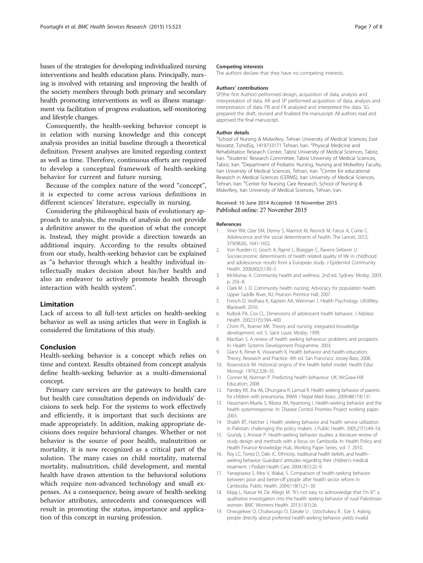<span id="page-6-0"></span>bases of the strategies for developing individualized nursing interventions and health education plans. Principally, nursing is involved with retaining and improving the health of the society members through both primary and secondary health promoting interventions as well as illness management via facilitation of progress evaluation, self-monitoring and lifestyle changes.

Consequently, the health-seeking behavior concept is in relation with nursing knowledge and this concept analysis provides an initial baseline through a theoretical definition. Present analyses are limited regarding context as well as time. Therefore, continuous efforts are required to develop a conceptual framework of health-seeking behavior for current and future nursing.

Because of the complex nature of the word "concept", it is expected to come across various definitions in different sciences' literature, especially in nursing.

Considering the philosophical basis of evolutionary approach to analysis, the results of analysis do not provide a definitive answer to the question of what the concept is. Instead, they might provide a direction towards an additional inquiry. According to the results obtained from our study, health-seeking behavior can be explained as "a behavior through which a healthy individual intellectually makes decision about his/her health and also an endeavor to actively promote health through interaction with health system".

#### Limitation

Lack of access to all full-text articles on health-seeking behavior as well as using articles that were in English is considered the limitations of this study.

#### Conclusion

Health-seeking behavior is a concept which relies on time and context. Results obtained from concept analysis define health-seeking behavior as a multi-dimensional concept.

Primary care services are the gateways to health care but health care consultation depends on individuals' decisions to seek help. For the systems to work effectively and efficiently, it is important that such decisions are made appropriately. In addition, making appropriate decisions does require behavioral changes. Whether or not behavior is the source of poor health, malnutrition or mortality, it is now recognized as a critical part of the solution. The many cases on child mortality, maternal mortality, malnutrition, child development, and mental health have drawn attention to the behavioral solutions which require non-advanced technology and small expenses. As a consequence, being aware of health-seeking behavior attributes, antecedents and consequences will result in promoting the status, importance and application of this concept in nursing profession.

#### Competing interests

The authors declare that they have no competing interests.

#### Authors' contributions

SP(the first Author) performed design, acquisition of data, analysis and interpretation of data. AR and SP performed acquisition of data, analysis and interpretation of data. PB and FR analyzed and interpreted the data. SG prepared the draft, revised and finalized the manuscript. All authors read and approved the final manuscript.

#### Author details

<sup>1</sup>School of Nursing & Midwifery, Tehran University of Medical Sciences, East Nosratst, TohidSq, 1419733171 Tehran, Iran. <sup>2</sup>Physical Medicine and Rehabilitation Research Center, Tabriz University of Medical Sciences, Tabriz, Iran. <sup>3</sup> Students' Research Committee, Tabriz University of Medical Sciences Tabriz, Iran. <sup>4</sup>Department of Pediatric Nursing, Nursing and Midwifery Faculty, Iran University of Medical Sciences, Tehran, Iran. <sup>5</sup>Centre for educational Research in Medical Sciences (CERMS), Iran University of Medical Sciences, Tehran, Iran. <sup>6</sup>Center for Nursing Care Research, School of Nursing & Midwifery, Iran University of Medical Sciences, Tehran, Iran.

#### Received: 10 June 2014 Accepted: 18 November 2015 Published online: 27 November 2015

#### References

- 1. Viner RM, Ozer EM, Denny S, Marmot M, Resnick M, Fatusi A, Currie C. Adolescence and the social determinants of health. The Lancet, 2012; 379(9826), 1641-1652.
- 2. Von Rueden U, Gosch A, Rajmil L, Bisegger C, Ravens-Sieberer U. Socioeconomic determinants of health related quality of life in childhood and adolescence: results from a European study. J Epidemiol Community Health. 2006;60(2):130–5.
- 3. McMurray A. Community health and wellness. 2nd ed. Sydney: Mosby; 2003. p. 256–8.
- 4. Clark M. J. D. Community health nursing: Advocacy for population health. Upper Saddle River, NJ: Pearson Prentice Hall; 2007.
- 5. French D, Vedhara K, Kaptein AA, Weinman J. Health Psychology. UK:Wiley-Blackwell; 2010.
- 6. Kulbok PA, Cox CL. Dimensions of adolescent health behavior. J Adolesc Health. 2002;31(5):394–400.
- 7. Chinn PL, Kramer MK. Theory and nursing: integrated knowledge development, vol. 5. Saint Louis: Mosby; 1999.
- 8. MacKian S. A review of health seeking behaviour: problems and prospects. In: Health Systems Development Programme. 2003.
- 9. Glanz K, Rimer K, Viswanath K. Health behavior and health education; Theory, Research and Practice. 4th ed. San Francisco: Jossey-Bass; 2008.
- 10. Rosenstock IM. Historical origins of the health belief model. Health Educ Monogr. 1974;2:328–35.
- 11. Conner M, Norman P. Predicting health behaviour. UK: McGraw-Hill Education; 2008.
- 12. Pandey KR, Jha AK, Dhungana R, Lamsal R. Health seeking behavior of parents for children with pneumonia. JNMA J Nepal Med Assoc. 2009;48(174):131.
- 13. Hausmann-Muela S, Ribera JM, Nyamong I. Health-seeking behavior and the health systemresponse. In: Disease Control Priorities Project working paper. 2003.
- 14. Shaikh BT, Hatcher J. Health seeking behavior and health service utilization in Pakistan: challenging the policy makers. J Public Health. 2005;27(1):49–54.
- 15. Grundy J, Annear P. Health-seeking behavior studies: a literature review of study design and methods with a focus on Cambodia. In: Health Policy and Health Finance Knowledge Hub, Working Paper Series, vol. 7. 2010.
- 16. Roy LC, Torrez D, Dale JC. Ethnicity, traditional health beliefs, and health– seeking behavior: Guardians' attitudes regarding their children's medical treatment. J Pediatr Health Care. 2004;18(1):22–9.
- 17. Yanagisawa S, Mey V, Wakai, S. Comparison of health-seeking behavior between poor and better-off people after health sector reform in Cambodia. Public Health. 2004;118(1):21–30
- 18. Majaj L, Nassar M, De Allegri M. "It's not easy to acknowledge that I'm ill": a qualitative investigation into the health seeking behavior of rural Palestinian women. BMC Womens Health. 2013;13(1):26.
- 19. Onwujekwe O, Chukwuogo O, Ezeoke U , Uzochukwu B , Eze S. Asking people directly about preferred health-seeking behavior yields invalid